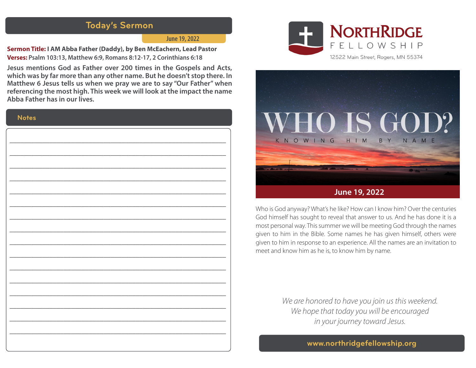## **Today's Sermon**

#### **June 19, 2022**

**Sermon Title: I AM Abba Father (Daddy), by Ben McEachern, Lead Pastor Verses: Psalm 103:13, Matthew 6:9, Romans 8:12-17, 2 Corinthians 6:18**

**Jesus mentions God as Father over 200 times in the Gospels and Acts, which was by far more than any other name. But he doesn't stop there. In Matthew 6 Jesus tells us when we pray we are to say "Our Father" when referencing the most high. This week we will look at the impact the name Abba Father has in our lives.** 

#### **Notes**

| ۰ |
|---|
|   |
|   |
|   |
|   |
|   |
|   |
|   |
|   |
|   |
|   |
|   |
| ۰ |
|   |
|   |
|   |
|   |
|   |
|   |
|   |
|   |
|   |
|   |
|   |
|   |
|   |
|   |
|   |
|   |
|   |
|   |
|   |
|   |
|   |
|   |
|   |
|   |
|   |
|   |
|   |
|   |
|   |
|   |
|   |
|   |
|   |
|   |
|   |
|   |
|   |
|   |
|   |
|   |
|   |
|   |
|   |





Who is God anyway? What's he like? How can I know him? Over the centuries God himself has sought to reveal that answer to us. And he has done it is a most personal way. This summer we will be meeting God through the names given to him in the Bible. Some names he has given himself, others were given to him in response to an experience. All the names are an invitation to meet and know him as he is, to know him by name.

> *We are honored to have you join us this weekend. We hope that today you will be encouraged in your journey toward Jesus.*

> > **www.northridgefellowship.org**